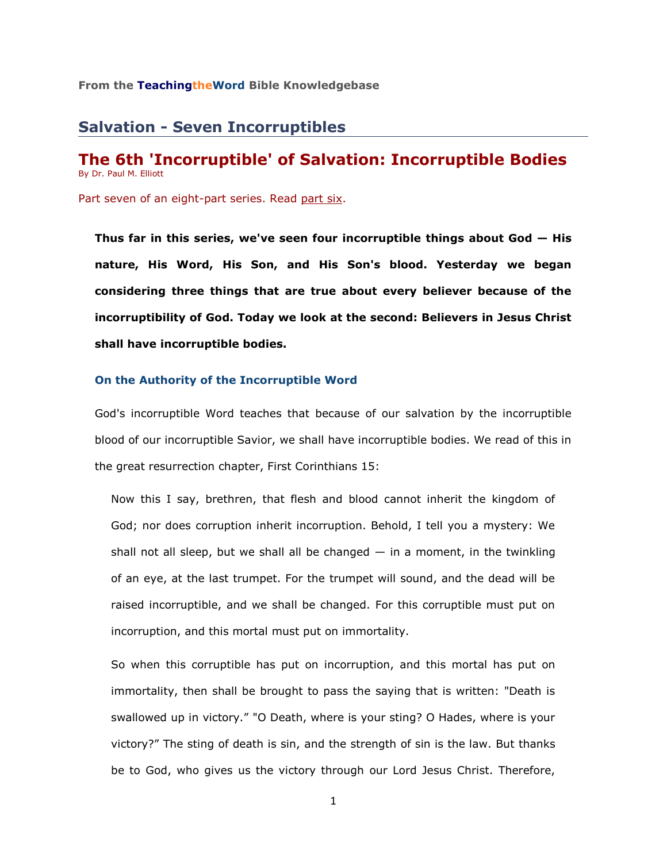# **Salvation - Seven Incorruptibles**

# **The 6th 'Incorruptible' of Salvation: Incorruptible Bodies** By Dr. Paul M. Elliott

Part seven of an eight-part series. Read [part six.](http://www.teachingtheword.org/apps/articles/web/articleid/61122/columnid/5861/default.asp)

**Thus far in this series, we've seen four incorruptible things about God — His nature, His Word, His Son, and His Son's blood. Yesterday we began considering three things that are true about every believer because of the incorruptibility of God. Today we look at the second: Believers in Jesus Christ shall have incorruptible bodies.**

### **On the Authority of the Incorruptible Word**

God's incorruptible Word teaches that because of our salvation by the incorruptible blood of our incorruptible Savior, we shall have incorruptible bodies. We read of this in the great resurrection chapter, First Corinthians 15:

Now this I say, brethren, that flesh and blood cannot inherit the kingdom of God; nor does corruption inherit incorruption. Behold, I tell you a mystery: We shall not all sleep, but we shall all be changed  $-$  in a moment, in the twinkling of an eye, at the last trumpet. For the trumpet will sound, and the dead will be raised incorruptible, and we shall be changed. For this corruptible must put on incorruption, and this mortal must put on immortality.

So when this corruptible has put on incorruption, and this mortal has put on immortality, then shall be brought to pass the saying that is written: "Death is swallowed up in victory." "O Death, where is your sting? O Hades, where is your victory?" The sting of death is sin, and the strength of sin is the law. But thanks be to God, who gives us the victory through our Lord Jesus Christ. Therefore,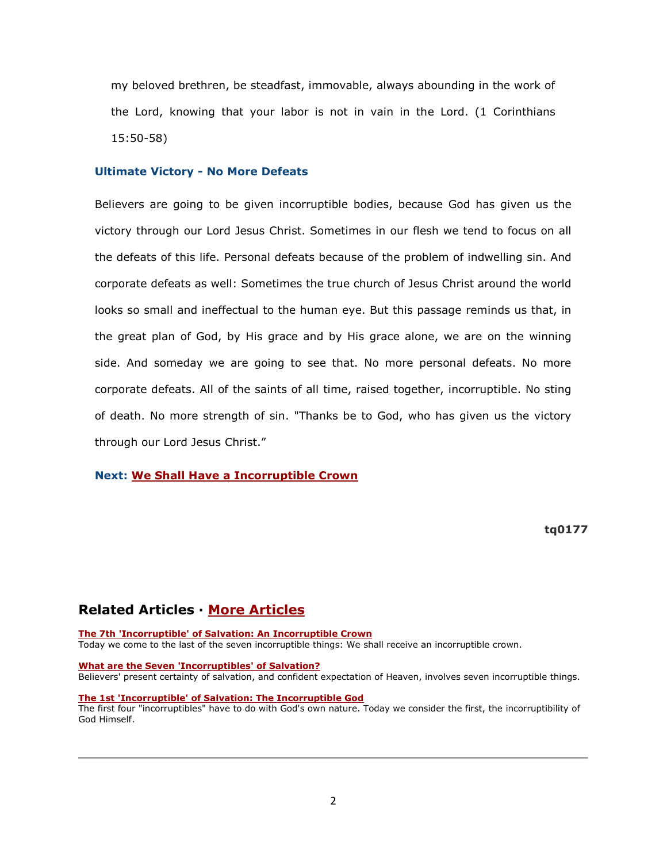my beloved brethren, be steadfast, immovable, always abounding in the work of the Lord, knowing that your labor is not in vain in the Lord. (1 Corinthians 15:50-58)

### **Ultimate Victory - No More Defeats**

Believers are going to be given incorruptible bodies, because God has given us the victory through our Lord Jesus Christ. Sometimes in our flesh we tend to focus on all the defeats of this life. Personal defeats because of the problem of indwelling sin. And corporate defeats as well: Sometimes the true church of Jesus Christ around the world looks so small and ineffectual to the human eye. But this passage reminds us that, in the great plan of God, by His grace and by His grace alone, we are on the winning side. And someday we are going to see that. No more personal defeats. No more corporate defeats. All of the saints of all time, raised together, incorruptible. No sting of death. No more strength of sin. "Thanks be to God, who has given us the victory through our Lord Jesus Christ."

## **Next: [We Shall Have a Incorruptible Crown](http://www.teachingtheword.org/apps/articles/web/articleid/69718/columnid/5861/default.asp)**

**tq0177**

# **Related Articles · [More Articles](http://73011.netministry.com/apps/articles/web/columnid/5861/default.asp)**

#### **[The 7th 'Incorruptible' of Salvation: An Incorruptible Crown](http://73011.netministry.com/apps/articles/web/articleid/69718/columnid/5861/default.asp)**

Today we come to the last of the seven incorruptible things: We shall receive an incorruptible crown.

#### **[What are the Seven 'Incorruptibles' of Salvation?](http://73011.netministry.com/apps/articles/web/articleid/61117/columnid/5861/default.asp)**

Believers' present certainty of salvation, and confident expectation of Heaven, involves seven incorruptible things.

#### **[The 1st 'Incorruptible' of Salvation: The Incorruptible God](http://73011.netministry.com/apps/articles/web/articleid/61118/columnid/5861/default.asp)**

The first four "incorruptibles" have to do with God's own nature. Today we consider the first, the incorruptibility of God Himself.